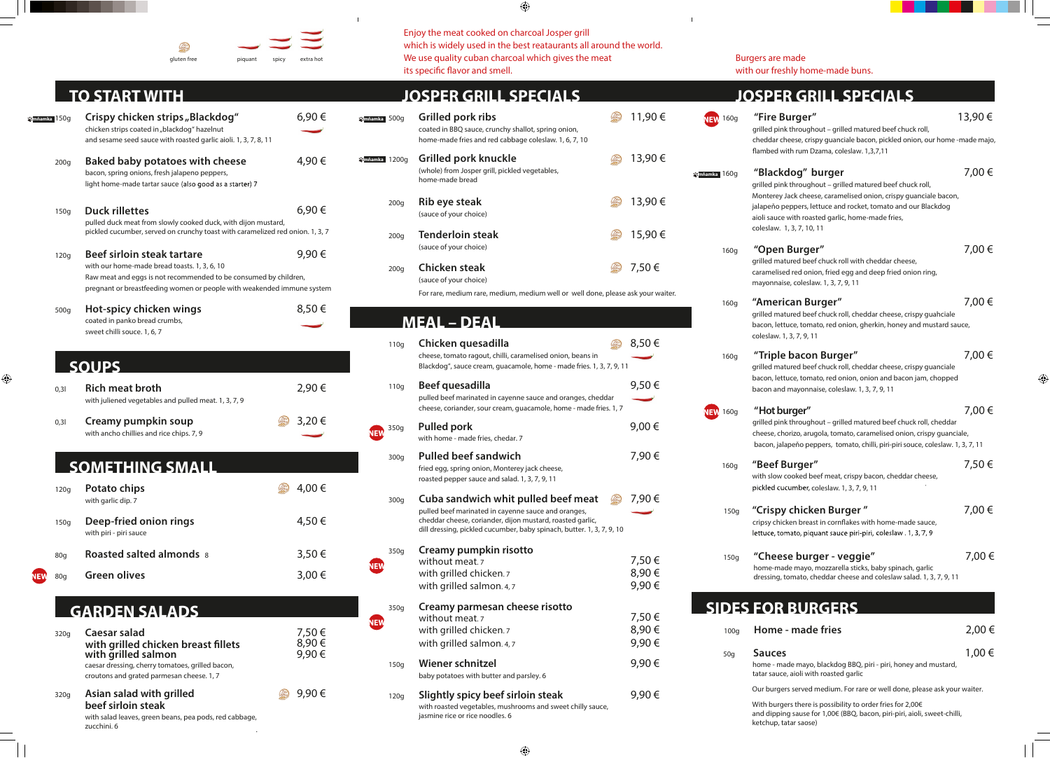| piquant | spicy | extra hot |
|---------|-------|-----------|

 $\sim 1^{\circ}$ 

# **TO START WITH**

 $\bigoplus$ 

 $\equiv$ 

gluten free

(Bez)<br>Santa

| Y <mark>e</mark> mňamka 150q |                  | Crispy chicken strips "Blackdog"<br>chicken strips coated in "blackdog" hazelnut<br>and sesame seed sauce with roasted garlic aioli. 1, 3, 7, 8, 11                                                                      | 6,90€                   |  |
|------------------------------|------------------|--------------------------------------------------------------------------------------------------------------------------------------------------------------------------------------------------------------------------|-------------------------|--|
|                              | 200 <sub>g</sub> | Baked baby potatoes with cheese<br>bacon, spring onions, fresh jalapeno peppers,<br>light home-made tartar sauce (also good as a starter) 7                                                                              | 4,90 €                  |  |
|                              | 150g             | <b>Duck rillettes</b><br>pulled duck meat from slowly cooked duck, with dijon mustard,<br>pickled cucumber, served on crunchy toast with caramelized red onion. 1, 3, 7                                                  | 6,90€                   |  |
|                              | 120g             | Beef sirloin steak tartare<br>with our home-made bread toasts. 1, 3, 6, 10<br>Raw meat and eggs is not recommended to be consumed by children,<br>pregnant or breastfeeding women or people with weakended immune system | 9,90€                   |  |
|                              | 500g             | Hot-spicy chicken wings<br>coated in panko bread crumbs,<br>sweet chilli souce. 1, 6, 7                                                                                                                                  | 8,50€                   |  |
|                              |                  | <b>SOUPS</b>                                                                                                                                                                                                             |                         |  |
|                              | 0,31             | <b>Rich meat broth</b><br>with juliened vegetables and pulled meat. 1, 3, 7, 9                                                                                                                                           | 2,90 €                  |  |
|                              | 0,31             | Creamy pumpkin soup<br>with ancho chillies and rice chips. 7, 9                                                                                                                                                          | 3,20€                   |  |
|                              |                  | <b>SOMETHING SMALL</b>                                                                                                                                                                                                   |                         |  |
|                              | 120g             | Potato chips<br>with garlic dip. 7                                                                                                                                                                                       | 4,00 €                  |  |
|                              | 150g             | Deep-fried onion rings<br>with piri - piri sauce                                                                                                                                                                         | 4,50 €                  |  |
|                              | 80g              | <b>Roasted salted almonds 8</b>                                                                                                                                                                                          | 3,50 €                  |  |
| EW                           | 80 <sub>g</sub>  | <b>Green olives</b>                                                                                                                                                                                                      | 3,00 €                  |  |
|                              |                  | <b>GARDEN SALADS</b>                                                                                                                                                                                                     |                         |  |
|                              | 320g             | <b>Caesar salad</b><br>with grilled chicken breast fillets<br>with grilled salmon<br>caesar dressing, cherry tomatoes, grilled bacon,<br>croutons and grated parmesan cheese. 1, 7                                       | 7,50€<br>8,90€<br>9,90€ |  |
|                              | 320g             | Asian salad with grilled<br>beef sirloin steak<br>with salad leaves, green beans, pea pods, red cabbage,<br>zucchini. 6                                                                                                  | 9,90€                   |  |

.

### $\bigoplus$

|                                     | Enjoy the meat cooked on charcoal Josper grill<br>which is widely used in the best reataurants all around the world.<br>We use quality cuban charcoal which gives the meat<br>its specific flavor and smell.                     |                         |                      | <b>Burgers are made</b><br>with our freshly home-made buns.                                                                                                                                                                                                                       |        |
|-------------------------------------|----------------------------------------------------------------------------------------------------------------------------------------------------------------------------------------------------------------------------------|-------------------------|----------------------|-----------------------------------------------------------------------------------------------------------------------------------------------------------------------------------------------------------------------------------------------------------------------------------|--------|
|                                     | <b>JOSPER GRILL SPECIALS</b>                                                                                                                                                                                                     |                         |                      | <b>JOSPER GRILL SPECIALS</b>                                                                                                                                                                                                                                                      |        |
| <b>Sanňamka</b> 500g                | Grilled pork ribs<br>coated in BBQ sauce, crunchy shallot, spring onion,<br>home-made fries and red cabbage coleslaw. 1, 6, 7, 10                                                                                                | 11,90 €                 | <b>NEW</b> 160g      | "Fire Burger"<br>grilled pink throughout - grilled matured beef chuck roll,<br>cheddar cheese, crispy guanciale bacon, pickled onion, our home -made majo,                                                                                                                        | 13,90€ |
| <b><i><u>Xanňamka</u></i></b> 1200g | Grilled pork knuckle<br>(whole) from Josper grill, pickled vegetables,                                                                                                                                                           | 13,90 €                 | <b>X</b> mňamka 160g | flambed with rum Dzama, coleslaw. 1,3,7,11<br>"Blackdog" burger                                                                                                                                                                                                                   | 7,00 € |
| 200 <sub>g</sub>                    | home-made bread<br><b>Rib eye steak</b><br>(sauce of your choice)                                                                                                                                                                | 13,90€                  |                      | grilled pink throughout - grilled matured beef chuck roll,<br>Monterey Jack cheese, caramelised onion, crispy guanciale bacon,<br>jalapeňo peppers, lettuce and rocket, tomato and our Blackdog<br>aioli sauce with roasted garlic, home-made fries,<br>coleslaw. 1, 3, 7, 10, 11 |        |
| 200 <sub>g</sub>                    | <b>Tenderloin steak</b><br>(sauce of your choice)                                                                                                                                                                                | 15,90€                  | 160g                 | "Open Burger"                                                                                                                                                                                                                                                                     | 7,00 € |
| 200 <sub>g</sub>                    | <b>Chicken steak</b><br>(sauce of your choice)                                                                                                                                                                                   | 7,50€                   |                      | grilled matured beef chuck roll with cheddar cheese,<br>caramelised red onion, fried egg and deep fried onion ring,<br>mayonnaise, coleslaw. 1, 3, 7, 9, 11                                                                                                                       |        |
|                                     | For rare, medium rare, medium, medium well or well done, please ask your waiter.<br><b>MEAL - DEAL</b>                                                                                                                           |                         | 160g                 | "American Burger"<br>grilled matured beef chuck roll, cheddar cheese, crispy guahciale<br>bacon, lettuce, tomato, red onion, gherkin, honey and mustard sauce,<br>coleslaw. 1, 3, 7, 9, 11                                                                                        | 7,00€  |
| 110g                                | Chicken quesadilla<br>cheese, tomato ragout, chilli, caramelised onion, beans in<br>Blackdog", sauce cream, guacamole, home - made fries. 1, 3, 7, 9, 11                                                                         | 8,50€                   | 160g                 | "Triple bacon Burger"<br>grilled matured beef chuck roll, cheddar cheese, crispy guanciale<br>bacon, lettuce, tomato, red onion, onion and bacon jam, chopped                                                                                                                     | 7,00 € |
| 110q                                | Beef quesadilla<br>pulled beef marinated in cayenne sauce and oranges, cheddar<br>cheese, coriander, sour cream, guacamole, home - made fries. 1, 7                                                                              | 9,50€                   |                      | bacon and mayonnaise, coleslaw. 1, 3, 7, 9, 11<br>"Hot burger"                                                                                                                                                                                                                    | 7,00 € |
| 350g                                | <b>Pulled pork</b><br>with home - made fries, chedar. 7                                                                                                                                                                          | 9,00€                   | <b>NEW</b> 160g      | grilled pink throughout - grilled matured beef chuck roll, cheddar<br>cheese, chorizo, arugola, tomato, caramelised onion, crispy guanciale,<br>bacon, jalapeňo peppers, tomato, chilli, piri-piri souce, coleslaw. 1, 3, 7, 11                                                   |        |
| 300g                                | <b>Pulled beef sandwich</b><br>fried egg, spring onion, Monterey jack cheese,<br>roasted pepper sauce and salad. 1, 3, 7, 9, 11                                                                                                  | 7,90€                   | 160g                 | "Beef Burger"<br>with slow cooked beef meat, crispy bacon, cheddar cheese,<br>pickled cucumber, coleslaw. 1, 3, 7, 9, 11                                                                                                                                                          | 7,50€  |
| 300g                                | Cuba sandwich whit pulled beef meat<br>pulled beef marinated in cayenne sauce and oranges,<br>cheddar cheese, coriander, dijon mustard, roasted garlic,<br>dill dressing, pickled cucumber, baby spinach, butter. 1, 3, 7, 9, 10 | 7,90 €                  | 150g                 | "Crispy chicken Burger"<br>cripsy chicken breast in cornflakes with home-made sauce,<br>lettuce, tomato, piquant sauce piri-piri, coleslaw . 1, 3, 7, 9                                                                                                                           | 7,00 € |
| 350g<br>NEW                         | Creamy pumpkin risotto<br>without meat. <sub>7</sub><br>with grilled chicken.7<br>with grilled salmon. 4, 7                                                                                                                      | 7,50€<br>8,90€<br>9,90€ | 150g                 | "Cheese burger - veggie"<br>home-made mayo, mozzarella sticks, baby spinach, garlic<br>dressing, tomato, cheddar cheese and coleslaw salad. 1, 3, 7, 9, 11                                                                                                                        | 7,00€  |
| 350g                                | Creamy parmesan cheese risotto<br>without meat. <sub>7</sub>                                                                                                                                                                     | 7,50€                   |                      | <b>SIDES FOR BURGERS</b>                                                                                                                                                                                                                                                          |        |
| NEW                                 | with grilled chicken.7<br>with grilled salmon. 4, 7                                                                                                                                                                              | 8,90€<br>9,90€          | 100 <sub>g</sub>     | Home - made fries                                                                                                                                                                                                                                                                 | 2,00€  |
| 150g                                | <b>Wiener schnitzel</b><br>baby potatoes with butter and parsley. 6                                                                                                                                                              | 9,90€                   | 50 <sub>g</sub>      | <b>Sauces</b><br>home - made mayo, blackdog BBQ, piri - piri, honey and mustard,<br>tatar sauce, aioli with roasted garlic                                                                                                                                                        | 1,00€  |
| 120g                                | Slightly spicy beef sirloin steak<br>with roasted vegetables, mushrooms and sweet chilly sauce,<br>jasmine rice or rice noodles. 6                                                                                               | 9,90€                   |                      | Our burgers served medium. For rare or well done, please ask your waiter.<br>With burgers there is possibility to order fries for 2,00€<br>and dipping sause for 1,00€ (BBQ, bacon, piri-piri, aioli, sweet-chilli,<br>katchun tatar sansa)                                       |        |

ketchup, tatai

 $\bigcirc$